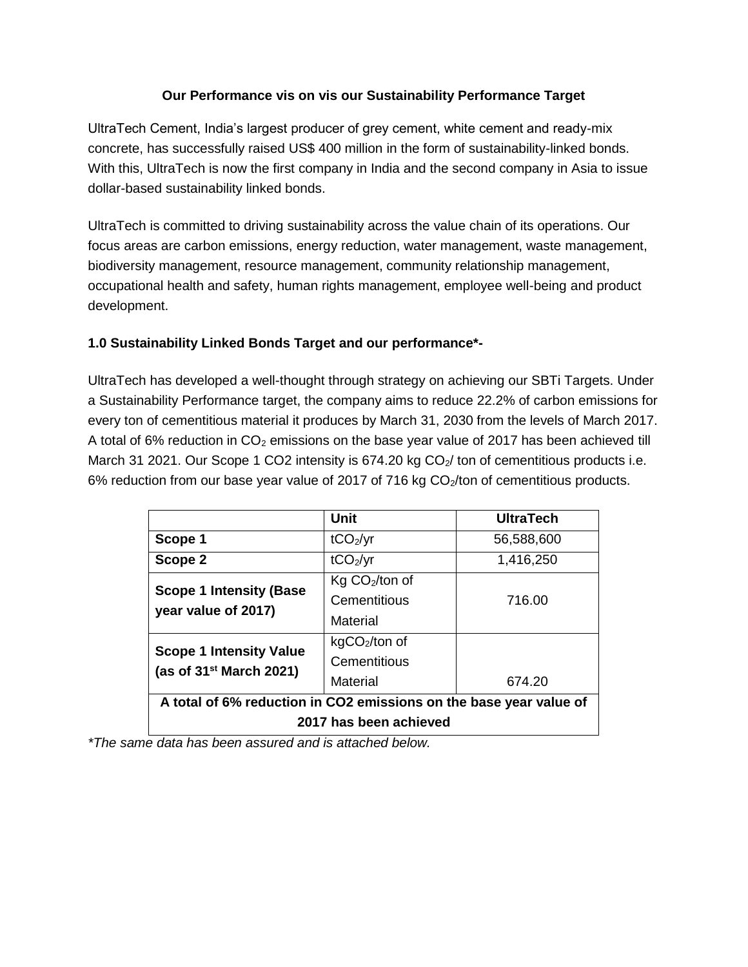# **Our Performance vis on vis our Sustainability Performance Target**

UltraTech Cement, India's largest producer of grey cement, white cement and ready-mix concrete, has successfully raised US\$ 400 million in the form of sustainability-linked bonds. With this, UltraTech is now the first company in India and the second company in Asia to issue dollar-based sustainability linked bonds.

UltraTech is committed to driving sustainability across the value chain of its operations. Our focus areas are carbon emissions, energy reduction, water management, waste management, biodiversity management, resource management, community relationship management, occupational health and safety, human rights management, employee well-being and product development.

# **1.0 Sustainability Linked Bonds Target and our performance\*-**

UltraTech has developed a well-thought through strategy on achieving our SBTi Targets. Under a Sustainability Performance target, the company aims to reduce 22.2% of carbon emissions for every ton of cementitious material it produces by March 31, 2030 from the levels of March 2017. A total of 6% reduction in  $CO<sub>2</sub>$  emissions on the base year value of 2017 has been achieved till March 31 2021. Our Scope 1 CO2 intensity is  $674.20$  kg CO<sub>2</sub>/ ton of cementitious products i.e. 6% reduction from our base year value of 2017 of 716 kg  $CO<sub>2</sub>/ton$  of cementitious products.

|                                                                    | Unit                 | <b>UltraTech</b> |  |
|--------------------------------------------------------------------|----------------------|------------------|--|
| Scope 1                                                            | tCO <sub>2</sub> /yr | 56,588,600       |  |
| Scope 2                                                            | tCO <sub>2</sub> /yr | 1,416,250        |  |
| <b>Scope 1 Intensity (Base</b><br>year value of 2017)              | $Kg CO2/ton$ of      |                  |  |
|                                                                    | Cementitious         | 716.00           |  |
|                                                                    | Material             |                  |  |
| <b>Scope 1 Intensity Value</b><br>(as of $31st$ March 2021)        | $kgCO2/ton$ of       |                  |  |
|                                                                    | Cementitious         |                  |  |
|                                                                    | Material             | 674.20           |  |
| A total of 6% reduction in CO2 emissions on the base year value of |                      |                  |  |
| 2017 has been achieved                                             |                      |                  |  |

*\*The same data has been assured and is attached below.*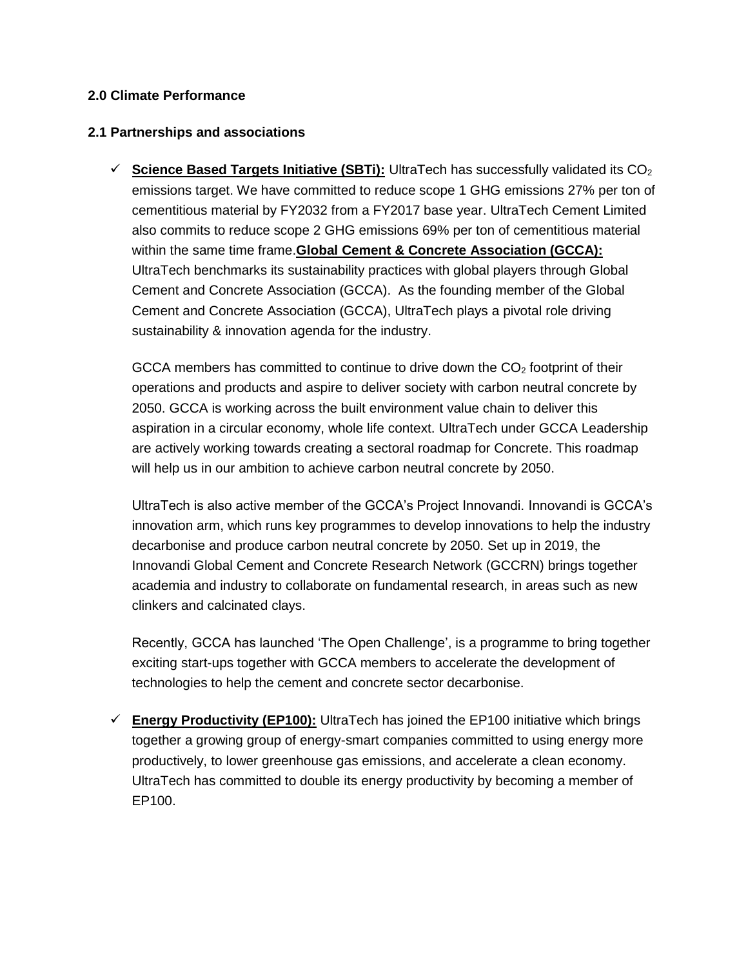## **2.0 Climate Performance**

## **2.1 Partnerships and associations**

 $\checkmark$  Science Based Targets Initiative (SBTi): UltraTech has successfully validated its  $CO<sub>2</sub>$ emissions target. We have committed to reduce scope 1 GHG emissions 27% per ton of cementitious material by FY2032 from a FY2017 base year. UltraTech Cement Limited also commits to reduce scope 2 GHG emissions 69% per ton of cementitious material within the same time frame.**Global Cement & Concrete Association (GCCA):** UltraTech benchmarks its sustainability practices with global players through Global Cement and Concrete Association (GCCA). As the founding member of the Global Cement and Concrete Association (GCCA), UltraTech plays a pivotal role driving sustainability & innovation agenda for the industry.

GCCA members has committed to continue to drive down the  $CO<sub>2</sub>$  footprint of their operations and products and aspire to deliver society with carbon neutral concrete by 2050. GCCA is working across the built environment value chain to deliver this aspiration in a circular economy, whole life context. UltraTech under GCCA Leadership are actively working towards creating a sectoral roadmap for Concrete. This roadmap will help us in our ambition to achieve carbon neutral concrete by 2050.

UltraTech is also active member of the GCCA's Project Innovandi. Innovandi is GCCA's innovation arm, which runs key programmes to develop innovations to help the industry decarbonise and produce carbon neutral concrete by 2050. Set up in 2019, the Innovandi Global Cement and Concrete Research Network (GCCRN) brings together academia and industry to collaborate on fundamental research, in areas such as new clinkers and calcinated clays.

Recently, GCCA has launched 'The Open Challenge', is a programme to bring together exciting start-ups together with GCCA members to accelerate the development of technologies to help the cement and concrete sector decarbonise.

 **Energy Productivity (EP100):** UltraTech has joined the EP100 initiative which brings together a growing group of energy-smart companies committed to using energy more productively, to lower greenhouse gas emissions, and accelerate a clean economy. UltraTech has committed to double its energy productivity by becoming a member of EP100.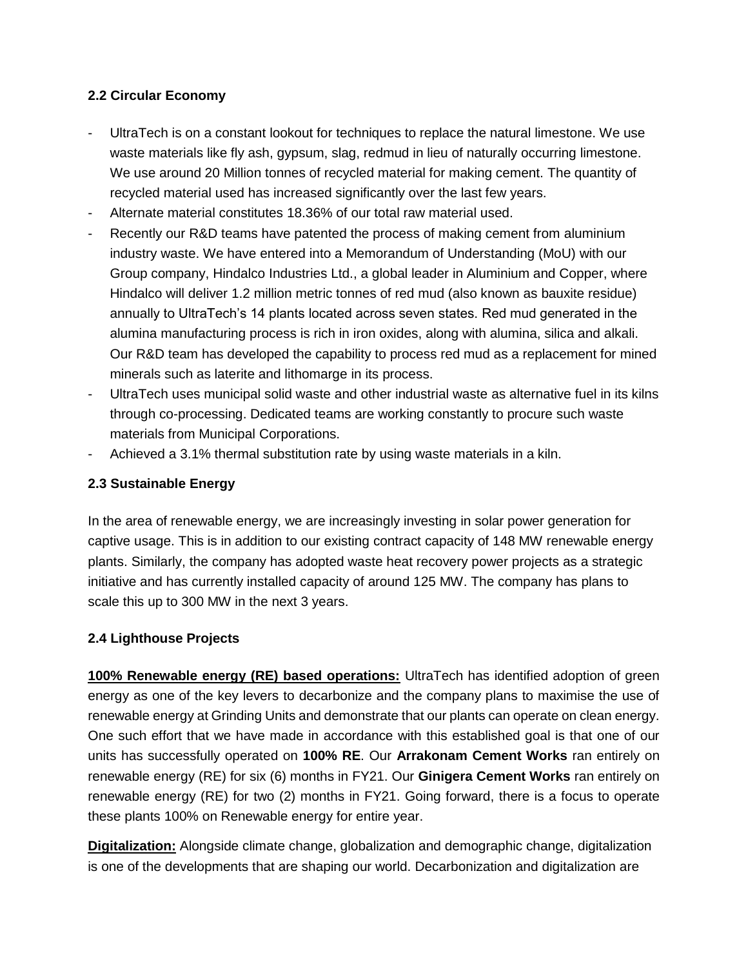## **2.2 Circular Economy**

- UltraTech is on a constant lookout for techniques to replace the natural limestone. We use waste materials like fly ash, gypsum, slag, redmud in lieu of naturally occurring limestone. We use around 20 Million tonnes of recycled material for making cement. The quantity of recycled material used has increased significantly over the last few years.
- Alternate material constitutes 18.36% of our total raw material used.
- Recently our R&D teams have patented the process of making cement from aluminium industry waste. We have entered into a Memorandum of Understanding (MoU) with our Group company, Hindalco Industries Ltd., a global leader in Aluminium and Copper, where Hindalco will deliver 1.2 million metric tonnes of red mud (also known as bauxite residue) annually to UltraTech's 14 plants located across seven states. Red mud generated in the alumina manufacturing process is rich in iron oxides, along with alumina, silica and alkali. Our R&D team has developed the capability to process red mud as a replacement for mined minerals such as laterite and lithomarge in its process.
- UltraTech uses municipal solid waste and other industrial waste as alternative fuel in its kilns through co-processing. Dedicated teams are working constantly to procure such waste materials from Municipal Corporations.
- Achieved a 3.1% thermal substitution rate by using waste materials in a kiln.

## **2.3 Sustainable Energy**

In the area of renewable energy, we are increasingly investing in solar power generation for captive usage. This is in addition to our existing contract capacity of 148 MW renewable energy plants. Similarly, the company has adopted waste heat recovery power projects as a strategic initiative and has currently installed capacity of around 125 MW. The company has plans to scale this up to 300 MW in the next 3 years.

### **2.4 Lighthouse Projects**

**100% Renewable energy (RE) based operations:** UltraTech has identified adoption of green energy as one of the key levers to decarbonize and the company plans to maximise the use of renewable energy at Grinding Units and demonstrate that our plants can operate on clean energy. One such effort that we have made in accordance with this established goal is that one of our units has successfully operated on **100% RE**. Our **Arrakonam Cement Works** ran entirely on renewable energy (RE) for six (6) months in FY21. Our **Ginigera Cement Works** ran entirely on renewable energy (RE) for two (2) months in FY21. Going forward, there is a focus to operate these plants 100% on Renewable energy for entire year.

**Digitalization:** Alongside climate change, globalization and demographic change, digitalization is one of the developments that are shaping our world. Decarbonization and digitalization are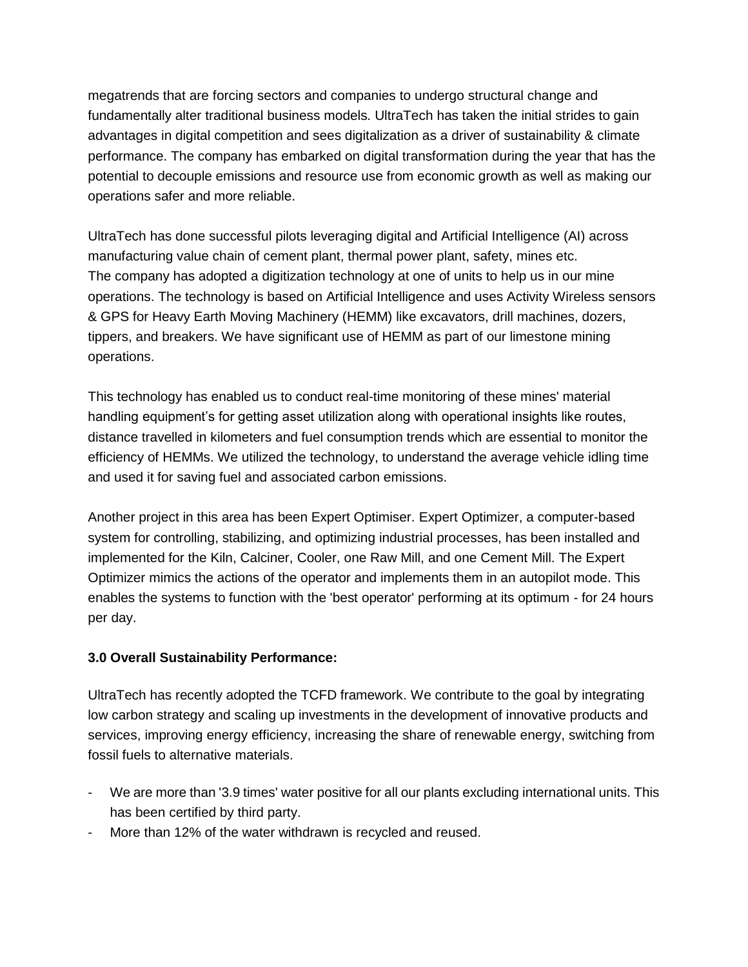megatrends that are forcing sectors and companies to undergo structural change and fundamentally alter traditional business models. UltraTech has taken the initial strides to gain advantages in digital competition and sees digitalization as a driver of sustainability & climate performance. The company has embarked on digital transformation during the year that has the potential to decouple emissions and resource use from economic growth as well as making our operations safer and more reliable.

UltraTech has done successful pilots leveraging digital and Artificial Intelligence (AI) across manufacturing value chain of cement plant, thermal power plant, safety, mines etc. The company has adopted a digitization technology at one of units to help us in our mine operations. The technology is based on Artificial Intelligence and uses Activity Wireless sensors & GPS for Heavy Earth Moving Machinery (HEMM) like excavators, drill machines, dozers, tippers, and breakers. We have significant use of HEMM as part of our limestone mining operations.

This technology has enabled us to conduct real-time monitoring of these mines' material handling equipment's for getting asset utilization along with operational insights like routes, distance travelled in kilometers and fuel consumption trends which are essential to monitor the efficiency of HEMMs. We utilized the technology, to understand the average vehicle idling time and used it for saving fuel and associated carbon emissions.

Another project in this area has been Expert Optimiser. Expert Optimizer, a computer-based system for controlling, stabilizing, and optimizing industrial processes, has been installed and implemented for the Kiln, Calciner, Cooler, one Raw Mill, and one Cement Mill. The Expert Optimizer mimics the actions of the operator and implements them in an autopilot mode. This enables the systems to function with the 'best operator' performing at its optimum - for 24 hours per day.

# **3.0 Overall Sustainability Performance:**

UltraTech has recently adopted the TCFD framework. We contribute to the goal by integrating low carbon strategy and scaling up investments in the development of innovative products and services, improving energy efficiency, increasing the share of renewable energy, switching from fossil fuels to alternative materials.

- We are more than '3.9 times' water positive for all our plants excluding international units. This has been certified by third party.
- More than 12% of the water withdrawn is recycled and reused.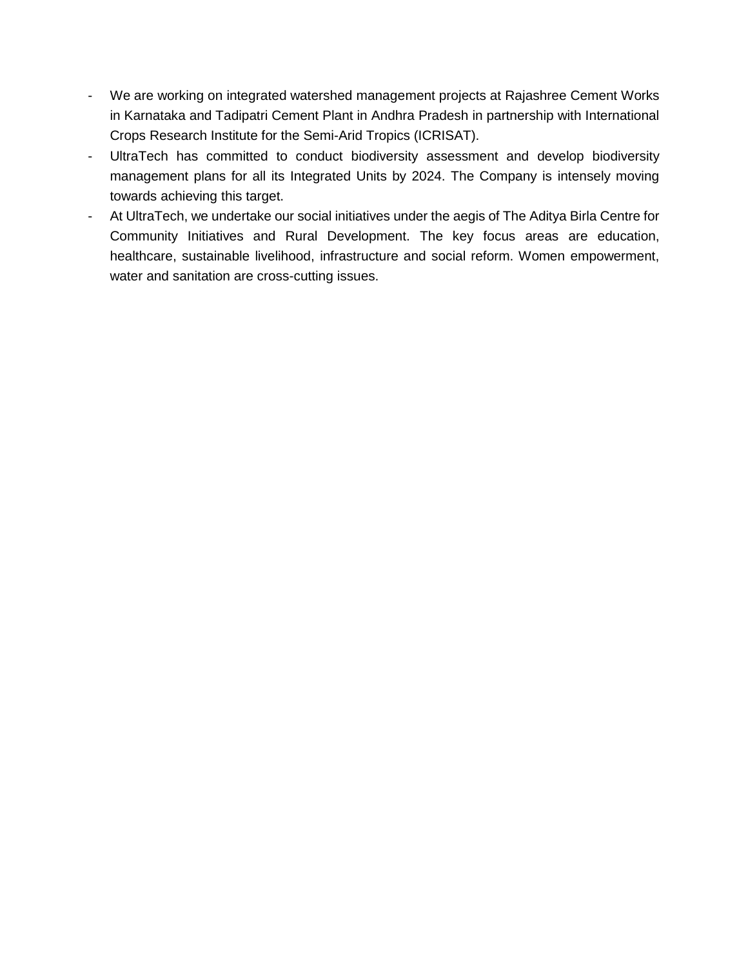- We are working on integrated watershed management projects at Rajashree Cement Works in Karnataka and Tadipatri Cement Plant in Andhra Pradesh in partnership with International Crops Research Institute for the Semi-Arid Tropics (ICRISAT).
- UltraTech has committed to conduct biodiversity assessment and develop biodiversity management plans for all its Integrated Units by 2024. The Company is intensely moving towards achieving this target.
- At UltraTech, we undertake our social initiatives under the aegis of The Aditya Birla Centre for Community Initiatives and Rural Development. The key focus areas are education, healthcare, sustainable livelihood, infrastructure and social reform. Women empowerment, water and sanitation are cross-cutting issues.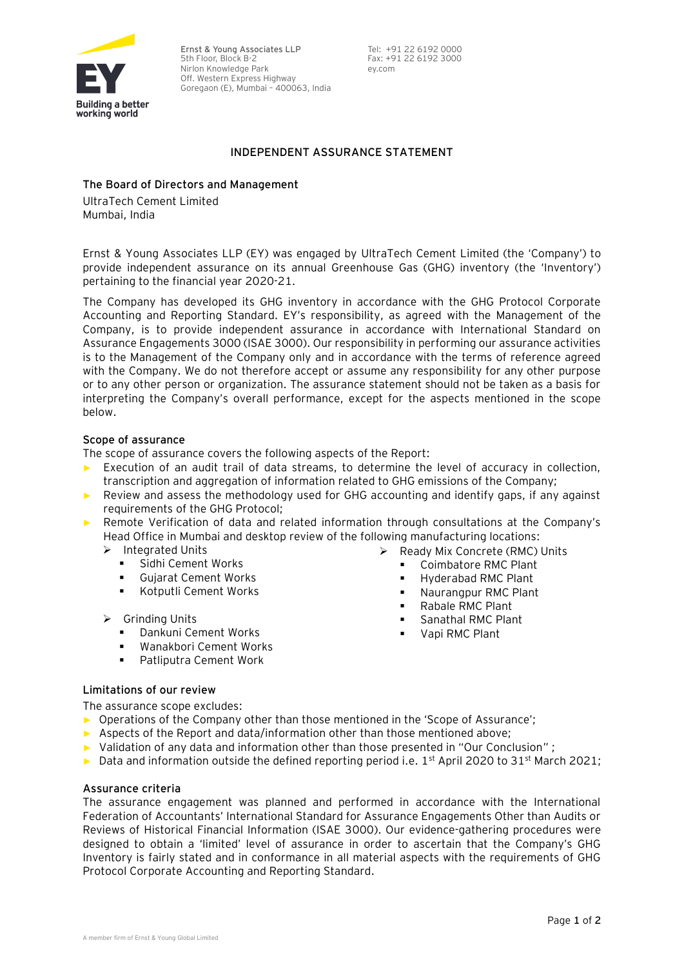

**Ernst & Young Associates LLP** 5th Floor, Block B-2 Nirlon Knowledge Park Off. Western Express Highway Goregaon (E), Mumbai – 400063, India

Tel: +91 22 6192 0000 Fax: +91 22 6192 3000 ey.com

### **INDEPENDENT ASSURANCE STATEMENT**

#### **The Board of Directors and Management**

UltraTech Cement Limited Mumbai, India

Ernst & Young Associates LLP (EY) was engaged by UltraTech Cement Limited (the 'Company') to provide independent assurance on its annual Greenhouse Gas (GHG) inventory (the 'Inventory') pertaining to the financial year 2020-21.

The Company has developed its GHG inventory in accordance with the GHG Protocol Corporate Accounting and Reporting Standard. EY's responsibility, as agreed with the Management of the Company, is to provide independent assurance in accordance with International Standard on Assurance Engagements 3000 (ISAE 3000). Our responsibility in performing our assurance activities is to the Management of the Company only and in accordance with the terms of reference agreed with the Company. We do not therefore accept or assume any responsibility for any other purpose or to any other person or organization. The assurance statement should not be taken as a basis for interpreting the Company's overall performance, except for the aspects mentioned in the scope below.

### **Scope of assurance**

The scope of assurance covers the following aspects of the Report:

- ► Execution of an audit trail of data streams, to determine the level of accuracy in collection, transcription and aggregation of information related to GHG emissions of the Company;
- ► Review and assess the methodology used for GHG accounting and identify gaps, if any against requirements of the GHG Protocol;
- ► Remote Verification of data and related information through consultations at the Company's Head Office in Mumbai and desktop review of the following manufacturing locations: ➢ Ready Mix Concrete (RMC) Units
	- ➢ Integrated Units
		- Sidhi Cement Works
		- Gujarat Cement Works
		- Kotputli Cement Works
	- ➢ Grinding Units
		- Dankuni Cement Works
		- Wanakbori Cement Works
		- Patliputra Cement Work
- Coimbatore RMC Plant ■ Hyderabad RMC Plant
	- Naurangpur RMC Plant
	- Rabale RMC Plant
	- Sanathal RMC Plant
	- Vapi RMC Plant

**Limitations of our review** 

The assurance scope excludes:

- ► Operations of the Company other than those mentioned in the 'Scope of Assurance';
- ► Aspects of the Report and data/information other than those mentioned above;
- ► Validation of any data and information other than those presented in "Our Conclusion" ;
- ► Data and information outside the defined reporting period i.e.  $1<sup>st</sup>$  April 2020 to 31<sup>st</sup> March 2021;

### **Assurance criteria**

The assurance engagement was planned and performed in accordance with the International Federation of Accountants' International Standard for Assurance Engagements Other than Audits or Reviews of Historical Financial Information (ISAE 3000). Our evidence-gathering procedures were designed to obtain a 'limited' level of assurance in order to ascertain that the Company's GHG Inventory is fairly stated and in conformance in all material aspects with the requirements of GHG Protocol Corporate Accounting and Reporting Standard.